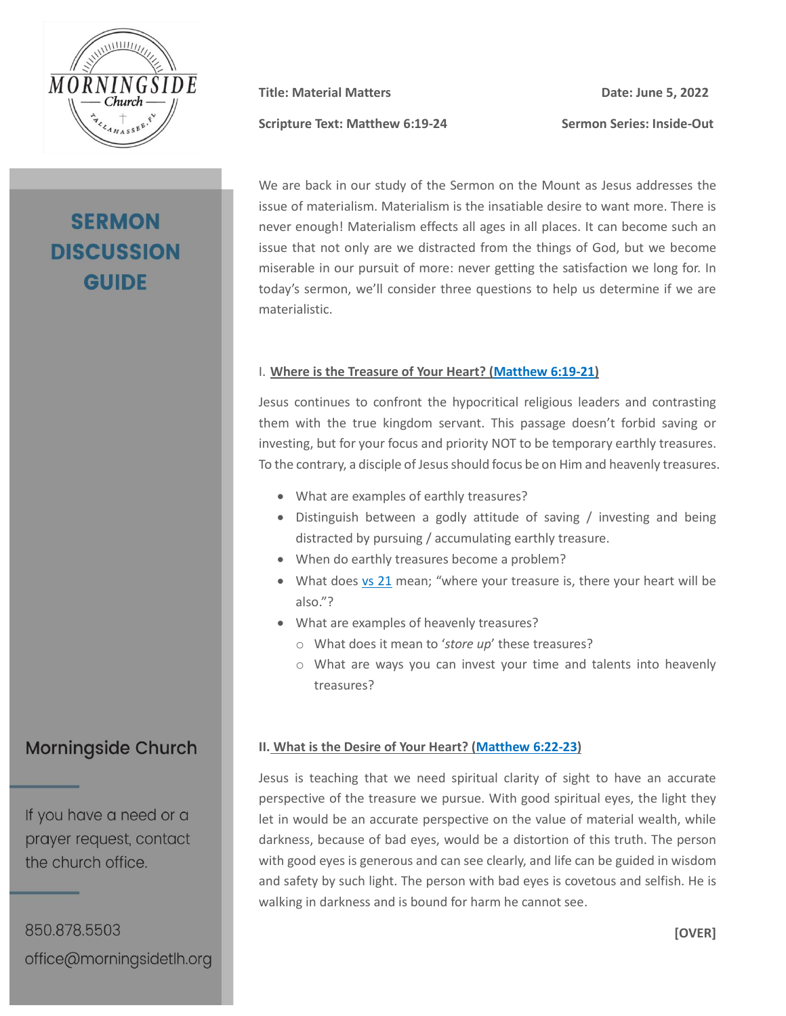

# **SERMON DISCUSSION GUIDE**

**Scripture Text: Matthew 6:19-24 Sermon Series: Inside-Out**

**Title: Material Matters Date: June 5, 2022**

We are back in our study of the Sermon on the Mount as Jesus addresses the issue of materialism. Materialism is the insatiable desire to want more. There is never enough! Materialism effects all ages in all places. It can become such an issue that not only are we distracted from the things of God, but we become miserable in our pursuit of more: never getting the satisfaction we long for. In today's sermon, we'll consider three questions to help us determine if we are materialistic.

### I. **Where is the Treasure of Your Heart? [\(Matthew 6:19-21\)](https://my.bible.com/bible/2692/MAT.6.19-21.nasb2020)**

Jesus continues to confront the hypocritical religious leaders and contrasting them with the true kingdom servant. This passage doesn't forbid saving or investing, but for your focus and priority NOT to be temporary earthly treasures. To the contrary, a disciple of Jesus should focus be on Him and heavenly treasures.

- What are examples of earthly treasures?
- Distinguish between a godly attitude of saving / investing and being distracted by pursuing / accumulating earthly treasure.
- When do earthly treasures become a problem?
- What does [vs 21](https://www.bible.com/bible/2692/MAT.6.21.nasb2020) mean; "where your treasure is, there your heart will be also."?
- What are examples of heavenly treasures?
	- o What does it mean to '*store up*' these treasures?
	- o What are ways you can invest your time and talents into heavenly treasures?

### **II. What is the Desire of Your Heart? [\(Matthew 6:22-23\)](https://www.bible.com/bible/2692/MAT.6.22-23.nasb2020)**

Jesus is teaching that we need spiritual clarity of sight to have an accurate perspective of the treasure we pursue. With good spiritual eyes, the light they let in would be an accurate perspective on the value of material wealth, while darkness, because of bad eyes, would be a distortion of this truth. The person with good eyes is generous and can see clearly, and life can be guided in wisdom and safety by such light. The person with bad eyes is covetous and selfish. He is walking in darkness and is bound for harm he cannot see.

## **Morningside Church**

If you have a need or a prayer request, contact the church office.

850.878.5503 office@morningsidetlh.org